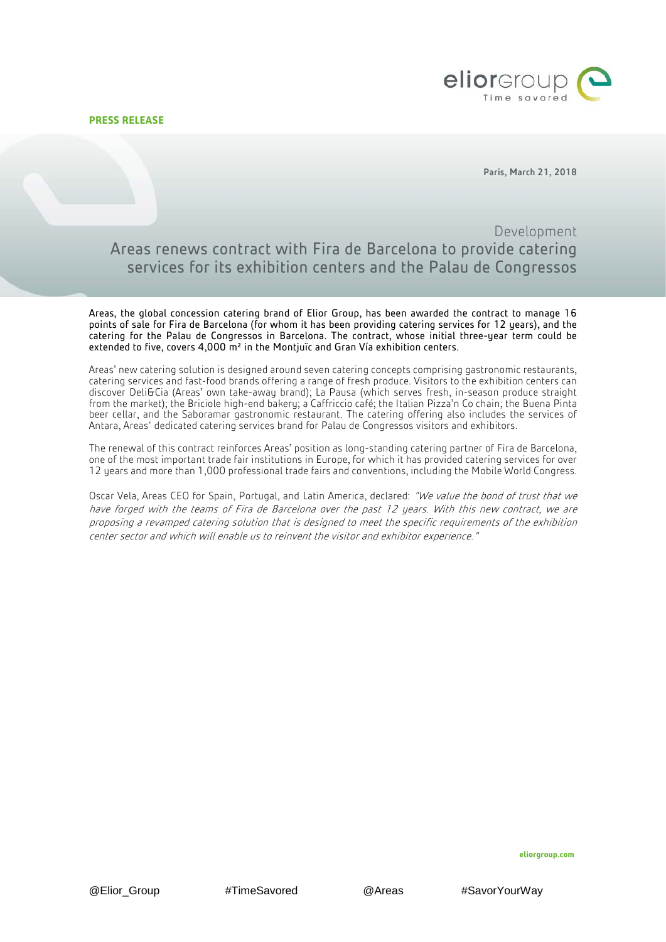**PRESS RELEASE**



Paris, March 21, 2018

# Development Areas renews contract with Fira de Barcelona to provide catering services for its exhibition centers and the Palau de Congressos

Areas, the global concession catering brand of Elior Group, has been awarded the contract to manage 16 points of sale for Fira de Barcelona (for whom it has been providing catering services for 12 years), and the catering for the Palau de Congressos in Barcelona. The contract, whose initial three-year term could be extended to five, covers  $4,000$   $\mathrm{m}^2$  in the Montjuïc and Gran Vía exhibition centers.

Areas' new catering solution is designed around seven catering concepts comprising gastronomic restaurants, catering services and fast-food brands offering a range of fresh produce. Visitors to the exhibition centers can discover Deli&Cia (Areas' own take-away brand); La Pausa (which serves fresh, in-season produce straight from the market); the Briciole high-end bakery; a Caffriccio café; the Italian Pizza'n Co chain; the Buena Pinta beer cellar, and the Saboramar gastronomic restaurant. The catering offering also includes the services of Antara, Areas' dedicated catering services brand for Palau de Congressos visitors and exhibitors.

The renewal of this contract reinforces Areas' position as long-standing catering partner of Fira de Barcelona, one of the most important trade fair institutions in Europe, for which it has provided catering services for over 12 years and more than 1,000 professional trade fairs and conventions, including the Mobile World Congress.

Oscar Vela, Areas CEO for Spain, Portugal, and Latin America, declared: "We value the bond of trust that we have forged with the teams of Fira de Barcelona over the past 12 years. With this new contract, we are proposing a revamped catering solution that is designed to meet the specific requirements of the exhibition center sector and which will enable us to reinvent the visitor and exhibitor experience."

**eliorgroup.com**